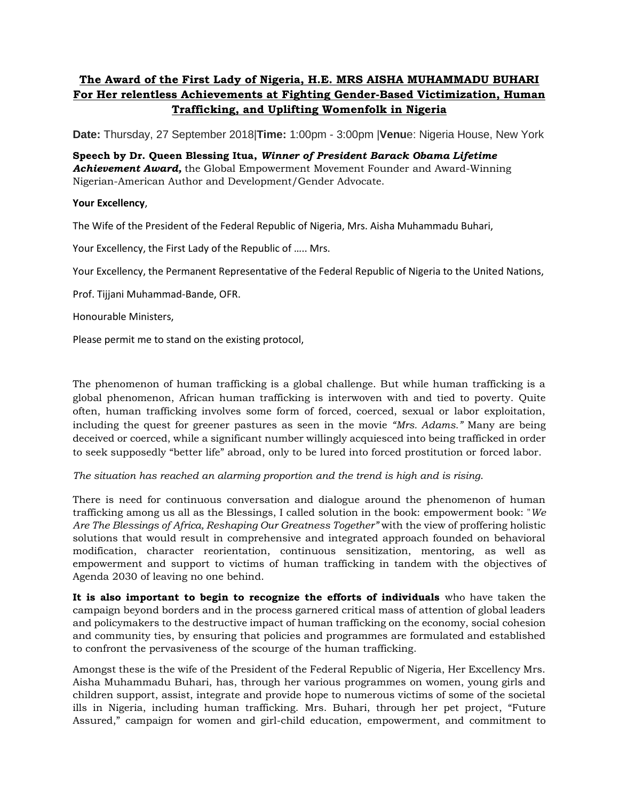## **The Award of the First Lady of Nigeria, H.E. MRS AISHA MUHAMMADU BUHARI For Her relentless Achievements at Fighting Gender-Based Victimization, Human Trafficking, and Uplifting Womenfolk in Nigeria**

**Date:** Thursday, 27 September 2018|**Time:** 1:00pm - 3:00pm |**Venu**e: Nigeria House, New York

**Speech by Dr. Queen Blessing Itua,** *Winner of President Barack Obama Lifetime Achievement Award,* the Global Empowerment Movement Founder and Award-Winning Nigerian-American Author and Development/Gender Advocate.

## **Your Excellency**,

The Wife of the President of the Federal Republic of Nigeria, Mrs. Aisha Muhammadu Buhari,

Your Excellency, the First Lady of the Republic of ….. Mrs.

Your Excellency, the Permanent Representative of the Federal Republic of Nigeria to the United Nations,

Prof. Tijjani Muhammad-Bande, OFR.

Honourable Ministers,

Please permit me to stand on the existing protocol,

The phenomenon of human trafficking is a global challenge. But while human trafficking is a global phenomenon, African human trafficking is interwoven with and tied to poverty. Quite often, human trafficking involves some form of forced, coerced, sexual or labor exploitation, including the quest for greener pastures as seen in the movie *"Mrs. Adams."* Many are being deceived or coerced, while a significant number willingly acquiesced into being trafficked in order to seek supposedly "better life" abroad, only to be lured into forced prostitution or forced labor.

*The situation has reached an alarming proportion and the trend is high and is rising*.

There is need for continuous conversation and dialogue around the phenomenon of human trafficking among us all as the Blessings, I called solution in the book: empowerment book: "*We Are The Blessings of Africa, Reshaping Our Greatness Together"* with the view of proffering holistic solutions that would result in comprehensive and integrated approach founded on behavioral modification, character reorientation, continuous sensitization, mentoring, as well as empowerment and support to victims of human trafficking in tandem with the objectives of Agenda 2030 of leaving no one behind.

**It is also important to begin to recognize the efforts of individuals** who have taken the campaign beyond borders and in the process garnered critical mass of attention of global leaders and policymakers to the destructive impact of human trafficking on the economy, social cohesion and community ties, by ensuring that policies and programmes are formulated and established to confront the pervasiveness of the scourge of the human trafficking.

Amongst these is the wife of the President of the Federal Republic of Nigeria, Her Excellency Mrs. Aisha Muhammadu Buhari, has, through her various programmes on women, young girls and children support, assist, integrate and provide hope to numerous victims of some of the societal ills in Nigeria, including human trafficking. Mrs. Buhari, through her pet project, "Future Assured," campaign for women and girl-child education, empowerment, and commitment to